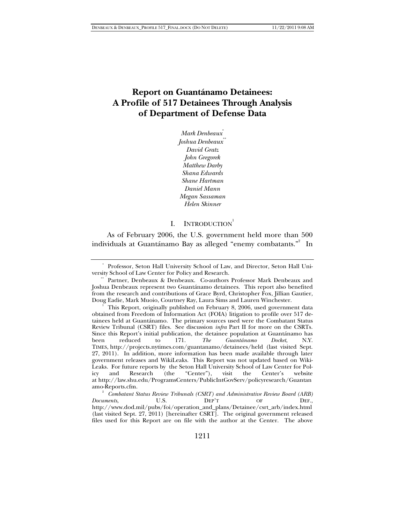# **Report on Guantánamo Detainees: A Profile of 517 Detainees Through Analysis of Department of Defense Data**

*Mark Denbeaux*\* *Joshua Denbeaux*\*\* *David Gratz John Gregorek Matthew Darby Shana Edwards Shane Hartman Daniel Mann Megan Sassaman Helen Skinner* 

## I. INTRODUCTION<sup>1</sup>

As of February 2006, the U.S. government held more than 500 individuals at Guantánamo Bay as alleged "enemy combatants." $^{2}$  In

 <sup>\*</sup> Professor, Seton Hall University School of Law, and Director, Seton Hall University School of Law Center for Policy and Research.

Partner, Denbeaux & Denbeaux. Co-authors Professor Mark Denbeaux and Joshua Denbeaux represent two Guantánamo detainees. This report also benefited from the research and contributions of Grace Byrd, Christopher Fox, Jillian Gautier, Doug Eadie, Mark Muoio, Courtney Ray, Laura Sims and Lauren Winchester. 1

This Report, originally published on February 8, 2006, used government data obtained from Freedom of Information Act (FOIA) litigation to profile over 517 detainees held at Guantánamo. The primary sources used were the Combatant Status Review Tribunal (CSRT) files. See discussion *infra* Part II for more on the CSRTs. Since this Report's initial publication, the detainee population at Guantánamo has been reduced to  $171.$  The Guantánamo Docket, N.Y. been reduced to 171. *The Guantánamo Docket*, N.Y. TIMES, http://projects.nytimes.com/guantanamo/detainees/held (last visited Sept. 27, 2011). In addition, more information has been made available through later government releases and WikiLeaks. This Report was not updated based on Wiki-Leaks. For future reports by the Seton Hall University School of Law Center for Policy and Research (the "Center"), visit the Center's website at http://law.shu.edu/ProgramsCenters/PublicIntGovServ/policyresearch/Guantan amo-Reports.cfm. 2

*Combatant Status Review Tribunals (CSRT) and Administrative Review Board (ARB) Documents*, **U.S. DEP'T** OF **DEF.**, http://www.dod.mil/pubs/foi/operation\_and\_plans/Detainee/csrt\_arb/index.html (last visited Sept. 27, 2011) [hereinafter CSRT]. The original government released files used for this Report are on file with the author at the Center. The above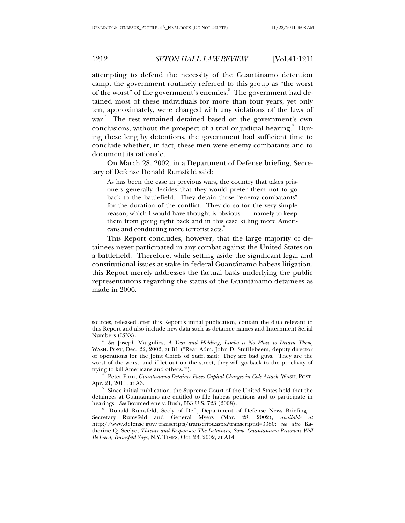attempting to defend the necessity of the Guantánamo detention camp, the government routinely referred to this group as "the worst of the worst" of the government's enemies.<sup>3</sup> The government had detained most of these individuals for more than four years; yet only ten, approximately, were charged with any violations of the laws of war.<sup>4</sup> The rest remained detained based on the government's own conclusions, without the prospect of a trial or judicial hearing.<sup>5</sup> During these lengthy detentions, the government had sufficient time to conclude whether, in fact, these men were enemy combatants and to document its rationale.

On March 28, 2002, in a Department of Defense briefing, Secretary of Defense Donald Rumsfeld said:

As has been the case in previous wars, the country that takes prisoners generally decides that they would prefer them not to go back to the battlefield. They detain those "enemy combatants" for the duration of the conflict. They do so for the very simple reason, which I would have thought is obvious——namely to keep them from going right back and in this case killing more Americans and conducting more terrorist acts.<sup>6</sup>

This Report concludes, however, that the large majority of detainees never participated in any combat against the United States on a battlefield. Therefore, while setting aside the significant legal and constitutional issues at stake in federal Guantánamo habeas litigation, this Report merely addresses the factual basis underlying the public representations regarding the status of the Guantánamo detainees as made in 2006.

sources, released after this Report's initial publication, contain the data relevant to this Report and also include new data such as detainee names and Internment Serial Numbers (ISNs). 3

<sup>&</sup>lt;sup>3</sup> See Joseph Margulies, *A Year and Holding, Limbo is No Place to Detain Them*, WASH. POST, Dec. 22, 2002, at B1 ("Rear Adm. John D. Stufflebeem, deputy director of operations for the Joint Chiefs of Staff, said: 'They are bad guys. They are the worst of the worst, and if let out on the street, they will go back to the proclivity of trying to kill Americans and others.'"). 4

Peter Finn, *Guantanamo Detainee Faces Capital Charges in Cole Attack*, WASH. POST, Apr. 21, 2011, at A3.

<sup>&</sup>lt;sup>5</sup> Since initial publication, the Supreme Court of the United States held that the detainees at Guantánamo are entitled to file habeas petitions and to participate in hearings. *See* Boumediene v. Bush, 553 U.S. 723 (2008). 6

Donald Rumsfeld, Sec'y of Def., Department of Defense News Briefing— Secretary Rumsfeld and General Myers (Mar. 28, 2002), *available at* http://www.defense.gov/transcripts/transcript.aspx?transcriptid=3380; *see also* Katherine Q. Seelye, *Threats and Responses: The Detainees; Some Guantanamo Prisoners Will Be Freed, Rumsfeld Says*, N.Y. TIMES, Oct. 23, 2002, at A14.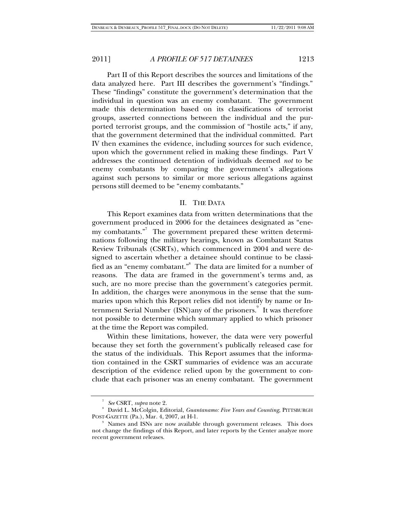Part II of this Report describes the sources and limitations of the data analyzed here. Part III describes the government's "findings." These "findings" constitute the government's determination that the individual in question was an enemy combatant. The government made this determination based on its classifications of terrorist groups, asserted connections between the individual and the purported terrorist groups, and the commission of "hostile acts," if any, that the government determined that the individual committed. Part IV then examines the evidence, including sources for such evidence, upon which the government relied in making these findings. Part V addresses the continued detention of individuals deemed *not* to be enemy combatants by comparing the government's allegations against such persons to similar or more serious allegations against persons still deemed to be "enemy combatants."

#### II. THE DATA

This Report examines data from written determinations that the government produced in 2006 for the detainees designated as "enemy combatants."<sup>7</sup> The government prepared these written determinations following the military hearings, known as Combatant Status Review Tribunals (CSRTs), which commenced in 2004 and were designed to ascertain whether a detainee should continue to be classified as an "enemy combatant." $^{\text{\tiny 8}}\,$  The data are limited for a number of reasons. The data are framed in the government's terms and, as such, are no more precise than the government's categories permit. In addition, the charges were anonymous in the sense that the summaries upon which this Report relies did not identify by name or Internment Serial Number (ISN)any of the prisoners.<sup>9</sup> It was therefore not possible to determine which summary applied to which prisoner at the time the Report was compiled.

Within these limitations, however, the data were very powerful because they set forth the government's publically released case for the status of the individuals. This Report assumes that the information contained in the CSRT summaries of evidence was an accurate description of the evidence relied upon by the government to conclude that each prisoner was an enemy combatant. The government

<sup>7</sup> *See* CSRT, *supra* note 2.

David L. McColgin, Editorial, *Guantanamo: Five Years and Counting*, PITTSBURGH POST-GAZETTE (Pa.), Mar. 4, 2007, at H-1.

<sup>&</sup>lt;sup>9</sup> Names and ISNs are now available through government releases. This does not change the findings of this Report, and later reports by the Center analyze more recent government releases.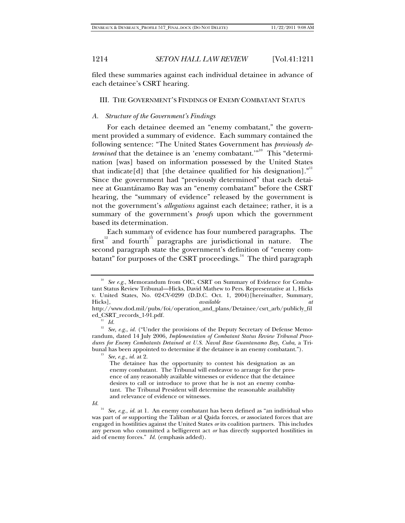filed these summaries against each individual detainee in advance of each detainee's CSRT hearing.

#### III. THE GOVERNMENT'S FINDINGS OF ENEMY COMBATANT STATUS

#### *A. Structure of the Government's Findings*

For each detainee deemed an "enemy combatant," the government provided a summary of evidence. Each summary contained the following sentence: "The United States Government has *previously determined* that the detainee is an 'enemy combatant.'"<sup>10</sup> This "determination [was] based on information possessed by the United States that indicate[d] that [the detainee qualified for his designation]. $"$ Since the government had "previously determined" that each detainee at Guantánamo Bay was an "enemy combatant" before the CSRT hearing, the "summary of evidence" released by the government is not the government's *allegations* against each detainee; rather, it is a summary of the government's *proofs* upon which the government based its determination.

Each summary of evidence has four numbered paragraphs. The  $first^{\frac{12}{2}}$  and fourth<sup>13</sup> paragraphs are jurisdictional in nature. The second paragraph state the government's definition of "enemy combatant" for purposes of the CSRT proceedings.<sup>14</sup> The third paragraph

 $\iint_{14}$ 

See e.g., Memorandum from OIC, CSRT on Summary of Evidence for Combatant Status Review Tribunal—Hicks, David Mathew to Pers. Representative at 1, Hicks v. United States, No. 02-CV-0299 (D.D.C. Oct. 1, 2004)[hereinafter, Summary, Hicks]. *available at* Hicks], *available at* 

http://www.dod.mil/pubs/foi/operation\_and\_plans/Detainee/csrt\_arb/publicly\_fil ed\_CSRT\_records\_1-91.pdf*.*

<sup>11</sup> *Id.*

<sup>&</sup>lt;sup>12</sup> See, e.g., id. ("Under the provisions of the Deputy Secretary of Defense Memorandum, dated 14 July 2006*, Implementation of Combatant Status Review Tribunal Procedures for Enemy Combatants Detained at U.S. Naval Base Guantanamo Bay, Cuba*, a Tribunal has been appointed to determine if the detainee is an enemy combatant."). 13 *See, e.g.*, *id.* at 2.

The detainee has the opportunity to contest his designation as an enemy combatant. The Tribunal will endeavor to arrange for the presence of any reasonably available witnesses or evidence that the detainee desires to call or introduce to prove that he is not an enemy combatant. The Tribunal President will determine the reasonable availability and relevance of evidence or witnesses.

See, e.g., *id.* at 1. An enemy combatant has been defined as "an individual who was part of *or* supporting the Taliban *or* al Qaida forces, *or* associated forces that are engaged in hostilities against the United States *or* its coalition partners. This includes any person who committed a belligerent act *or* has directly supported hostilities in aid of enemy forces." *Id.* (emphasis added).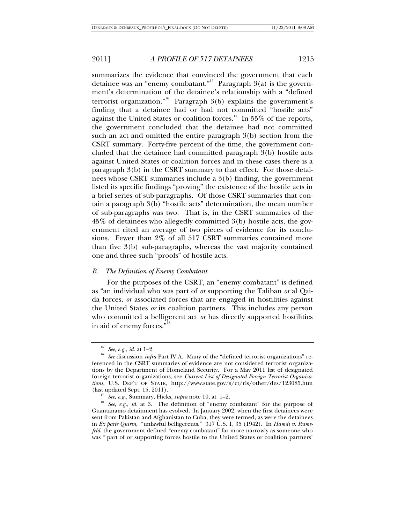summarizes the evidence that convinced the government that each detainee was an "enemy combatant."<sup>15</sup> Paragraph  $3(a)$  is the government's determination of the detainee's relationship with a "defined terrorist organization."<sup>16</sup> Paragraph 3(b) explains the government's finding that a detainee had or had not committed "hostile acts" against the United States or coalition forces.<sup>17</sup> In 55% of the reports, the government concluded that the detainee had not committed such an act and omitted the entire paragraph 3(b) section from the CSRT summary. Forty-five percent of the time, the government concluded that the detainee had committed paragraph 3(b) hostile acts against United States or coalition forces and in these cases there is a paragraph 3(b) in the CSRT summary to that effect. For those detainees whose CSRT summaries include a 3(b) finding, the government listed its specific findings "proving" the existence of the hostile acts in a brief series of sub-paragraphs. Of those CSRT summaries that contain a paragraph 3(b) "hostile acts" determination, the mean number of sub-paragraphs was two. That is, in the CSRT summaries of the 45% of detainees who allegedly committed 3(b) hostile acts, the government cited an average of two pieces of evidence for its conclusions. Fewer than 2% of all 517 CSRT summaries contained more than five 3(b) sub-paragraphs, whereas the vast majority contained one and three such "proofs" of hostile acts.

#### *B. The Definition of Enemy Combatant*

For the purposes of the CSRT, an "enemy combatant" is defined as "an individual who was part of *or* supporting the Taliban *or* al Qaida forces, *or* associated forces that are engaged in hostilities against the United States *or* its coalition partners. This includes any person who committed a belligerent act *or* has directly supported hostilities in aid of enemy forces."

<sup>&</sup>lt;sup>15</sup> *See, e.g., id.* at 1–2. 16 *See discussion <i>infra* Part IV.A. Many of the "defined terrorist organizations" referenced in the CSRT summaries of evidence are not considered terrorist organizations by the Department of Homeland Security. For a May 2011 list of designated foreign terrorist organizations, see *Current List of Designated Foreign Terrorist Organizations*, U.S. DEP'T OF STATE, http://www.state.gov/s/ct/rls/other/des/123085.htm

<sup>(</sup>last updated Sept. 15, 2011). 17 *See, e.g.*, Summary, Hicks, *supra* note 10, at 1–2. 18 *See, e.g.*, *id.* at 3. The definition of "enemy combatant" for the purpose of Guantánamo detainment has evolved. In January 2002, when the first detainees were sent from Pakistan and Afghanistan to Cuba, they were termed, as were the detainees in *Ex parte Quirin*, "unlawful belligerents." 317 U.S. 1, 35 (1942). In *Hamdi v. Rumsfeld*, the government defined "enemy combatant" far more narrowly as someone who was "'part of or supporting forces hostile to the United States or coalition partners'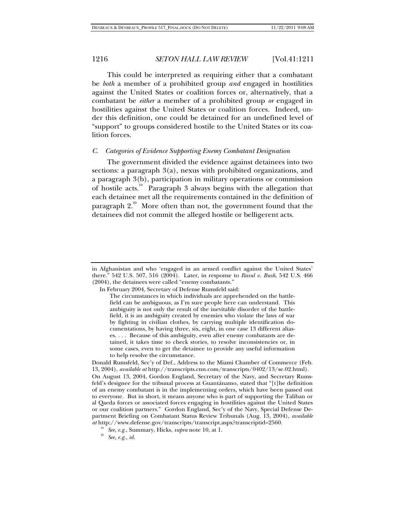This could be interpreted as requiring either that a combatant be *both* a member of a prohibited group *and* engaged in hostilities against the United States or coalition forces or, alternatively, that a combatant be *either* a member of a prohibited group *or* engaged in hostilities against the United States or coalition forces. Indeed, under this definition, one could be detained for an undefined level of "support" to groups considered hostile to the United States or its coalition forces.

#### *C. Categories of Evidence Supporting Enemy Combatant Designation*

The government divided the evidence against detainees into two sections: a paragraph 3(a), nexus with prohibited organizations, and a paragraph 3(b), participation in military operations or commission of hostile acts.19 Paragraph 3 always begins with the allegation that each detainee met all the requirements contained in the definition of paragraph  $2^{20}$ . More often than not, the government found that the detainees did not commit the alleged hostile or belligerent acts.

in Afghanistan and who 'engaged in an armed conflict against the United States' there." 542 U.S. 507, 516 (2004). Later, in response to *Rasul v. Bush*, 542 U.S. 466 (2004), the detainees were called "enemy combatants."

In February 2004, Secretary of Defense Rumsfeld said:

The circumstances in which individuals are apprehended on the battlefield can be ambiguous, as I'm sure people here can understand. This ambiguity is not only the result of the inevitable disorder of the battlefield, it is an ambiguity created by enemies who violate the laws of war by fighting in civilian clothes, by carrying multiple identification documentations, by having three, six, eight, in one case 13 different aliases. . . . Because of this ambiguity, even after enemy combatants are detained, it takes time to check stories, to resolve inconsistencies or, in some cases, even to get the detainee to provide any useful information to help resolve the circumstance.

Donald Rumsfeld, Sec'y of Def., Address to the Miami Chamber of Commerce (Feb. 13, 2004), *available at* http://transcripts.cnn.com/transcripts/0402/13/se.02.html). On August 13, 2004, Gordon England, Secretary of the Navy, and Secretary Rumsfeld's designee for the tribunal process at Guantánamo, stated that "[t]he definition of an enemy combatant is in the implementing orders, which have been passed out to everyone. But in short, it means anyone who is part of supporting the Taliban or al Qaeda forces or associated forces engaging in hostilities against the United States or our coalition partners." Gordon England, Sec'y of the Navy, Special Defense Department Briefing on Combatant Status Review Tribunals (Aug. 13, 2004), *available at* http://www.defense.gov/transcripts/transcript.aspx?transcriptid=2560.

<sup>19</sup> *See, e.g.*, Summary, Hicks, *supra* note 10, at 1. 20 *See, e.g.*, *id.*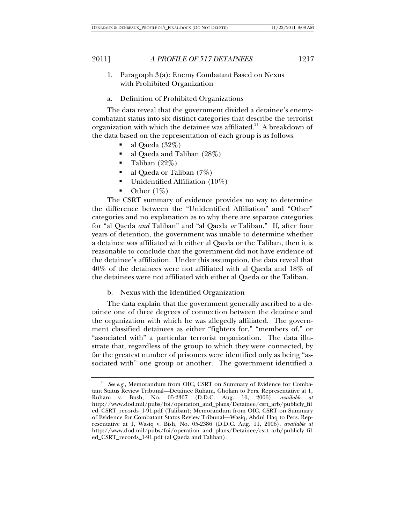- 1. Paragraph 3(a): Enemy Combatant Based on Nexus with Prohibited Organization
- a. Definition of Prohibited Organizations

The data reveal that the government divided a detainee's enemycombatant status into six distinct categories that describe the terrorist organization with which the detainee was affiliated.<sup>21</sup> A breakdown of the data based on the representation of each group is as follows:

- al Qaeda (32%)
- al Qaeda and Taliban (28%)
- Taliban (22%)
- al Qaeda or Taliban (7%)
- Unidentified Affiliation (10%)
- $\bullet$  Other (1\%)

The CSRT summary of evidence provides no way to determine the difference between the "Unidentified Affiliation" and "Other" categories and no explanation as to why there are separate categories for "al Qaeda *and* Taliban" and "al Qaeda *or* Taliban." If, after four years of detention, the government was unable to determine whether a detainee was affiliated with either al Qaeda or the Taliban, then it is reasonable to conclude that the government did not have evidence of the detainee's affiliation. Under this assumption, the data reveal that 40% of the detainees were not affiliated with al Qaeda and 18% of the detainees were not affiliated with either al Qaeda or the Taliban.

b. Nexus with the Identified Organization

The data explain that the government generally ascribed to a detainee one of three degrees of connection between the detainee and the organization with which he was allegedly affiliated. The government classified detainees as either "fighters for," "members of," or "associated with" a particular terrorist organization. The data illustrate that, regardless of the group to which they were connected, by far the greatest number of prisoners were identified only as being "associated with" one group or another. The government identified a

<sup>&</sup>lt;sup>21</sup> *See e.g.*, Memorandum from OIC, CSRT on Summary of Evidence for Combatant Status Review Tribunal—Detainee Ruhani, Gholam to Pers. Representative at 1, Ruhani v. Bush, No. 05-2367 (D.D.C. Aug. 10, 2006), *available at*  http://www.dod.mil/pubs/foi/operation\_and\_plans/Detainee/csrt\_arb/publicly\_fil ed\_CSRT\_records\_1-91.pdf (Taliban); Memorandum from OIC, CSRT on Summary of Evidence for Combatant Status Review Tribunal—Wasiq, Abdul Haq to Pers. Representative at 1, Wasiq v. Bish, No. 05-2386 (D.D.C. Aug. 11, 2006), *available at*  http://www.dod.mil/pubs/foi/operation\_and\_plans/Detainee/csrt\_arb/publicly\_fil ed\_CSRT\_records\_1-91.pdf (al Qaeda and Taliban).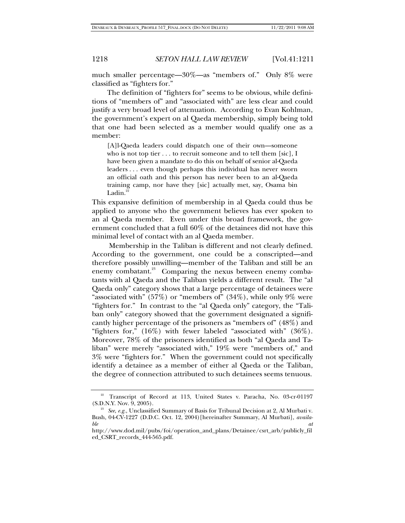much smaller percentage—30%—as "members of." Only 8% were classified as "fighters for."

The definition of "fighters for" seems to be obvious, while definitions of "members of" and "associated with" are less clear and could justify a very broad level of attenuation. According to Evan Kohlman, the government's expert on al Qaeda membership, simply being told that one had been selected as a member would qualify one as a member:

[A]l-Qaeda leaders could dispatch one of their own—someone who is not top tier  $\dots$  to recruit someone and to tell them [sic], I have been given a mandate to do this on behalf of senior al-Qaeda leaders . . . even though perhaps this individual has never sworn an official oath and this person has never been to an al-Qaeda training camp, nor have they [sic] actually met, say, Osama bin Ladin.

This expansive definition of membership in al Qaeda could thus be applied to anyone who the government believes has ever spoken to an al Qaeda member. Even under this broad framework, the government concluded that a full 60% of the detainees did not have this minimal level of contact with an al Qaeda member.

 Membership in the Taliban is different and not clearly defined. According to the government, one could be a conscripted—and therefore possibly unwilling—member of the Taliban and still be an enemy combatant.<sup>23</sup> Comparing the nexus between enemy combatants with al Qaeda and the Taliban yields a different result. The "al Qaeda only" category shows that a large percentage of detainees were "associated with" (57%) or "members of" (34%), while only  $9\%$  were "fighters for." In contrast to the "al Qaeda only" category, the "Taliban only" category showed that the government designated a significantly higher percentage of the prisoners as "members of" (48%) and "fighters for," (16%) with fewer labeled "associated with" (36%). Moreover, 78% of the prisoners identified as both "al Qaeda and Taliban" were merely "associated with," 19% were "members of," and 3% were "fighters for." When the government could not specifically identify a detainee as a member of either al Qaeda or the Taliban, the degree of connection attributed to such detainees seems tenuous.

<sup>&</sup>lt;sup>22</sup> Transcript of Record at 113, United States v. Paracha, No. 03-cr-01197 (S.D.N.Y. Nov. 9, 2005). 23 *See*, *e.g.*, Unclassified Summary of Basis for Tribunal Decision at 2, Al Murbati v.

Bush, 04-CV-1227 (D.D.C. Oct. 12, 2004)[hereinafter Summary, Al Murbati], *available* at the attention  $\alpha$  at the attention  $\alpha$  at the attention  $\alpha$  at the attention  $\alpha$ 

http://www.dod.mil/pubs/foi/operation\_and\_plans/Detainee/csrt\_arb/publicly\_fil ed\_CSRT\_records\_444-565.pdf.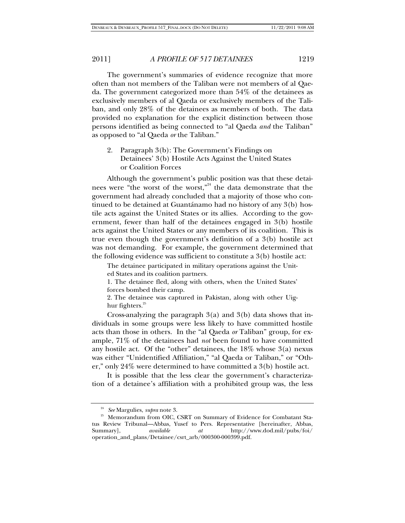The government's summaries of evidence recognize that more often than not members of the Taliban were not members of al Qaeda. The government categorized more than 54% of the detainees as exclusively members of al Qaeda or exclusively members of the Taliban, and only 28% of the detainees as members of both. The data provided no explanation for the explicit distinction between those persons identified as being connected to "al Qaeda *and* the Taliban" as opposed to "al Qaeda *or* the Taliban."

2. Paragraph 3(b): The Government's Findings on Detainees' 3(b) Hostile Acts Against the United States or Coalition Forces

Although the government's public position was that these detainees were "the worst of the worst,"<sup>24</sup> the data demonstrate that the government had already concluded that a majority of those who continued to be detained at Guantánamo had no history of any 3(b) hostile acts against the United States or its allies. According to the government, fewer than half of the detainees engaged in 3(b) hostile acts against the United States or any members of its coalition. This is true even though the government's definition of a 3(b) hostile act was not demanding. For example, the government determined that the following evidence was sufficient to constitute a 3(b) hostile act:

The detainee participated in military operations against the United States and its coalition partners.

1. The detainee fled, along with others, when the United States' forces bombed their camp.

2. The detainee was captured in Pakistan, along with other Uighur fighters. $25$ 

Cross-analyzing the paragraph 3(a) and 3(b) data shows that individuals in some groups were less likely to have committed hostile acts than those in others. In the "al Qaeda *or* Taliban" group, for example, 71% of the detainees had *not* been found to have committed any hostile act. Of the "other" detainees, the 18% whose 3(a) nexus was either "Unidentified Affiliation," "al Qaeda or Taliban," or "Other," only 24% were determined to have committed a 3(b) hostile act.

It is possible that the less clear the government's characterization of a detainee's affiliation with a prohibited group was, the less

<sup>&</sup>lt;sup>24</sup> See Margulies, *supra* note 3.<br><sup>25</sup> Memorandum from OIC, CSRT on Summary of Evidence for Combatant Status Review Tribunal—Abbas, Yusef to Pers. Representative [hereinafter, Abbas, Summary], *available at* http://www.dod.mil/pubs/foi/ operation\_and\_plans/Detainee/csrt\_arb/000300-000399.pdf.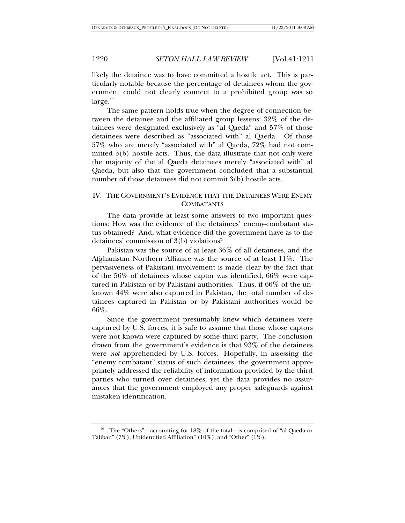likely the detainee was to have committed a hostile act. This is particularly notable because the percentage of detainees whom the government could not clearly connect to a prohibited group was so  $\text{large.}^{26}$ 

The same pattern holds true when the degree of connection between the detainee and the affiliated group lessens: 32% of the detainees were designated exclusively as "al Qaeda" and 57% of those detainees were described as "associated with" al Qaeda. Of those 57% who are merely "associated with" al Qaeda, 72% had not committed 3(b) hostile acts. Thus, the data illustrate that not only were the majority of the al Qaeda detainees merely "associated with" al Qaeda, but also that the government concluded that a substantial number of those detainees did not commit 3(b) hostile acts.

## IV. THE GOVERNMENT'S EVIDENCE THAT THE DETAINEES WERE ENEMY **COMBATANTS**

The data provide at least some answers to two important questions: How was the evidence of the detainees' enemy-combatant status obtained? And, what evidence did the government have as to the detainees' commission of 3(b) violations?

Pakistan was the source of at least 36% of all detainees, and the Afghanistan Northern Alliance was the source of at least 11%. The pervasiveness of Pakistani involvement is made clear by the fact that of the 56% of detainees whose captor was identified, 66% were captured in Pakistan or by Pakistani authorities. Thus, if 66% of the unknown 44% were also captured in Pakistan, the total number of detainees captured in Pakistan or by Pakistani authorities would be 66%.

Since the government presumably knew which detainees were captured by U.S. forces, it is safe to assume that those whose captors were not known were captured by some third party. The conclusion drawn from the government's evidence is that 93% of the detainees were *not* apprehended by U.S. forces. Hopefully, in assessing the "enemy combatant" status of such detainees, the government appropriately addressed the reliability of information provided by the third parties who turned over detainees; yet the data provides no assurances that the government employed any proper safeguards against mistaken identification.

<sup>&</sup>lt;sup>26</sup> The "Others"—accounting for 18% of the total—is comprised of "al Qaeda or Taliban" (7%), Unidentified Affiliation" (10%), and "Other" (1%).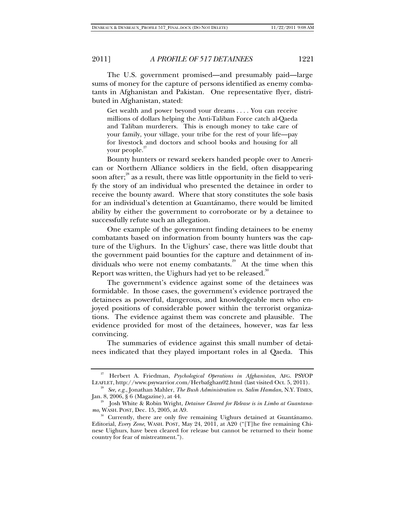The U.S. government promised—and presumably paid—large sums of money for the capture of persons identified as enemy combatants in Afghanistan and Pakistan. One representative flyer, distributed in Afghanistan, stated:

Get wealth and power beyond your dreams . . . . You can receive millions of dollars helping the Anti-Taliban Force catch al-Qaeda and Taliban murderers. This is enough money to take care of your family, your village, your tribe for the rest of your life—pay for livestock and doctors and school books and housing for all your people.<sup>27</sup>

Bounty hunters or reward seekers handed people over to American or Northern Alliance soldiers in the field, often disappearing soon after; $28$ <sup>28</sup> as a result, there was little opportunity in the field to verify the story of an individual who presented the detainee in order to receive the bounty award. Where that story constitutes the sole basis for an individual's detention at Guantánamo, there would be limited ability by either the government to corroborate or by a detainee to successfully refute such an allegation.

One example of the government finding detainees to be enemy combatants based on information from bounty hunters was the capture of the Uighurs. In the Uighurs' case, there was little doubt that the government paid bounties for the capture and detainment of individuals who were not enemy combatants.<sup>29</sup> At the time when this Report was written, the Uighurs had yet to be released. $30^\circ$ 

The government's evidence against some of the detainees was formidable. In those cases, the government's evidence portrayed the detainees as powerful, dangerous, and knowledgeable men who enjoyed positions of considerable power within the terrorist organizations. The evidence against them was concrete and plausible. The evidence provided for most of the detainees, however, was far less convincing.

The summaries of evidence against this small number of detainees indicated that they played important roles in al Qaeda. This

<sup>&</sup>lt;sup>27</sup> Herbert A. Friedman, *Psychological Operations in Afghanistan*, AFG. PSYOP<br>LEAFLET, http://www.psywarrior.com/Herbafghan02.html (last visited Oct. 5, 2011).

<sup>&</sup>lt;sup>28</sup> See, e.g., Jonathan Mahler, *The Bush Administration vs. Salim Hamdan*, N.Y. TIMES, Jan. 8, 2006, § 6 (Magazine), at 44.

<sup>&</sup>lt;sup>29</sup> Josh White & Robin Wright, *Detainee Cleared for Release is in Limbo at Guantana-*<br>mo, WASH. POST, Dec. 15, 2005, at A9.

<sup>&</sup>lt;sup>30</sup> Currently, there are only five remaining Uighurs detained at Guantánamo. Editorial, *Every Zone*, WASH. POST, May 24, 2011, at A20 ("[T]he five remaining Chinese Uighurs, have been cleared for release but cannot be returned to their home country for fear of mistreatment.").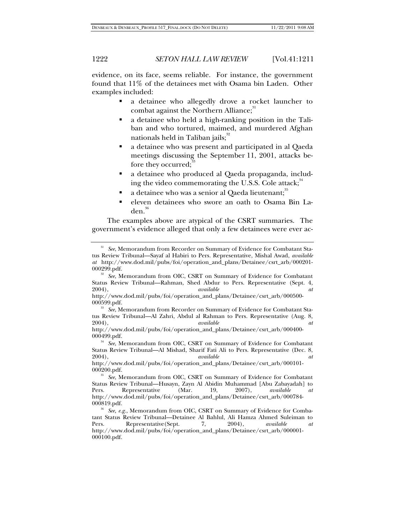evidence, on its face, seems reliable. For instance, the government found that 11% of the detainees met with Osama bin Laden. Other examples included:

- a detainee who allegedly drove a rocket launcher to combat against the Northern Alliance; $31$
- a detainee who held a high-ranking position in the Taliban and who tortured, maimed, and murdered Afghan nationals held in Taliban jails;<sup>32</sup>
- a detainee who was present and participated in al Qaeda meetings discussing the September 11, 2001, attacks before they occurred;<sup>3</sup>
- a detainee who produced al Qaeda propaganda, including the video commemorating the U.S.S. Cole attack; $34$
- a detainee who was a senior al Qaeda lieutenant;<sup>35</sup>
- eleven detainees who swore an oath to Osama Bin La $den.<sup>36</sup>$

The examples above are atypical of the CSRT summaries. The government's evidence alleged that only a few detainees were ever ac-

<sup>&</sup>lt;sup>31</sup> See, Memorandum from Recorder on Summary of Evidence for Combatant Status Review Tribunal—Sayaf al Habiri to Pers. Representative, Mishal Awad, *available at* http://www.dod.mil/pubs/foi/operation\_and\_plans/Detainee/csrt\_arb/000201-

See, Memorandum from OIC, CSRT on Summary of Evidence for Combatant Status Review Tribunal—Rahman, Shed Abdur to Pers. Representative (Sept. 4, 2004), at 2004), *available at*  http://www.dod.mil/pubs/foi/operation\_and\_plans/Detainee/csrt\_arb/000500-

<sup>000599.</sup>pdf. 33 *See*, Memorandum from Recorder on Summary of Evidence for Combatant Sta-

tus Review Tribunal—Al Zahri, Abdul al Rahman to Pers. Representative (Aug. 8, 2004), at 2004), *available at*  http://www.dod.mil/pubs/foi/operation\_and\_plans/Detainee/csrt\_arb/000400-

<sup>000499.</sup>pdf. 34 *See*, Memorandum from OIC, CSRT on Summary of Evidence for Combatant Status Review Tribunal—Al Mishad, Sharif Fati Ali to Pers. Representative (Dec. 8,

<sup>2004),</sup> *available at*  http://www.dod.mil/pubs/foi/operation\_and\_plans/Detainee/csrt\_arb/000101-

<sup>000200.</sup>pdf. 35 *See*, Memorandum from OIC, CSRT on Summary of Evidence for Combatant Status Review Tribunal—Husayn, Zayn Al Abidin Muhammad [Abu Zabayadah] to Pers. Representative (Mar. 19, 2007), *available at* http://www.dod.mil/pubs/foi/operation\_and\_plans/Detainee/csrt\_arb/000784-

<sup>000819.</sup>pdf. 36 *See, e.g.*, Memorandum from OIC, CSRT on Summary of Evidence for Combatant Status Review Tribunal—Detainee Al Bahlul, Ali Hamza Ahmed Suleiman to<br>Pers. Representative (Sept. 7, 2004), *available at* Pers. Representative(Sept. 7, 2004), *available at*  http://www.dod.mil/pubs/foi/operation\_and\_plans/Detainee/csrt\_arb/000001- 000100.pdf.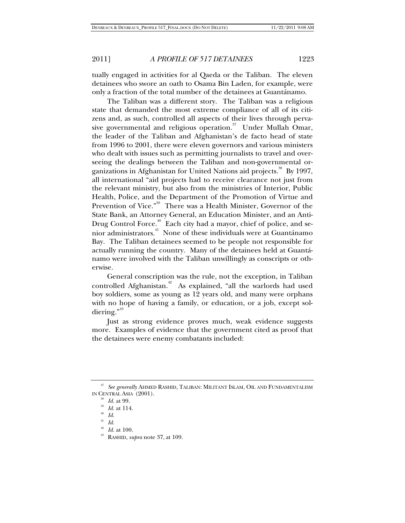tually engaged in activities for al Qaeda or the Taliban. The eleven detainees who swore an oath to Osama Bin Laden, for example, were only a fraction of the total number of the detainees at Guantánamo.

The Taliban was a different story. The Taliban was a religious state that demanded the most extreme compliance of all of its citizens and, as such, controlled all aspects of their lives through pervasive governmental and religious operation. $37$  Under Mullah Omar, the leader of the Taliban and Afghanistan's de facto head of state from 1996 to 2001, there were eleven governors and various ministers who dealt with issues such as permitting journalists to travel and overseeing the dealings between the Taliban and non-governmental organizations in Afghanistan for United Nations aid projects.<sup>38</sup> By 1997, all international "aid projects had to receive clearance not just from the relevant ministry, but also from the ministries of Interior, Public Health, Police, and the Department of the Promotion of Virtue and Prevention of Vice."<sup>39</sup> There was a Health Minister, Governor of the State Bank, an Attorney General, an Education Minister, and an Anti-Drug Control Force.<sup>40</sup> Each city had a mayor, chief of police, and senior administrators.<sup>41</sup> None of these individuals were at Guantánamo Bay. The Taliban detainees seemed to be people not responsible for actually running the country. Many of the detainees held at Guantánamo were involved with the Taliban unwillingly as conscripts or otherwise.

General conscription was the rule, not the exception, in Taliban controlled Afghanistan.<sup>42</sup> As explained, "all the warlords had used boy soldiers, some as young as 12 years old, and many were orphans with no hope of having a family, or education, or a job, except sol $diering.$ <sup>43</sup>

Just as strong evidence proves much, weak evidence suggests more. Examples of evidence that the government cited as proof that the detainees were enemy combatants included:

<sup>37</sup> *See generally* AHMED RASHID, TALIBAN: MILITANT ISLAM, OIL AND FUNDAMENTALISM IN CENTRAL ASIA (2001).<br><sup>38</sup> *Id.* at 99.<br><sup>39</sup> *Id.* at 114.<br><sup>40</sup> *Id.* 

<sup>41</sup> *Id.*

<sup>42</sup> *Id.* at 100. 43 RASHID, *supra* note 37, at 109.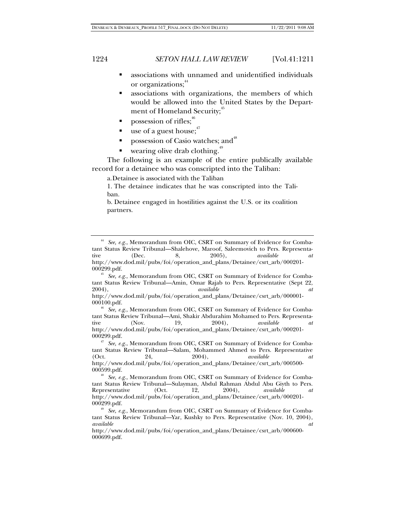- associations with unnamed and unidentified individuals or organizations;<sup>44</sup>
- associations with organizations, the members of which would be allowed into the United States by the Department of Homeland Security;<sup>45</sup>
- possession of rifles; $46$
- use of a guest house; $17$
- possession of Casio watches; and<sup>48</sup>
- wearing olive drab clothing.<sup>4</sup>

The following is an example of the entire publically available record for a detainee who was conscripted into the Taliban:

a. Detainee is associated with the Taliban

1. The detainee indicates that he was conscripted into the Taliban.

b. Detainee engaged in hostilities against the U.S. or its coalition partners.

<sup>44</sup> *See, e.g.*, Memorandum from OIC, CSRT on Summary of Evidence for Combatant Status Review Tribunal—Shalehove, Maroof, Saleemovich to Pers. Representa-<br>tive (Dec. 8, 2005), *available at* tive (Dec. 8, 2005), *available at*  http://www.dod.mil/pubs/foi/operation\_and\_plans/Detainee/csrt\_arb/000201-

<sup>000299.</sup>pdf. 45 *See, e.g.*, Memorandum from OIC, CSRT on Summary of Evidence for Combatant Status Review Tribunal—Amin, Omar Rajab to Pers. Representative (Sept 22, 2004),  $available$ 2004), *available at*  http://www.dod.mil/pubs/foi/operation\_and\_plans/Detainee/csrt\_arb/000001-

<sup>000100.</sup>pdf. 46 *See, e.g.*, Memorandum from OIC, CSRT on Summary of Evidence for Combatant Status Review Tribunal—Ami, Shakir Abdurahim Mohamed to Pers. Representa-<br>tive (Nov. 19, 2004), *available at* tive (Nov. 19, 2004), *available at*  http://www.dod.mil/pubs/foi/operation\_and\_plans/Detainee/csrt\_arb/000201-

<sup>000299.</sup>pdf. 47 *See, e.g.*, Memorandum from OIC, CSRT on Summary of Evidence for Combatant Status Review Tribunal—Salam, Mohammed Ahmed to Pers. Representative (Oct. 24, 2004), *available at*  http://www.dod.mil/pubs/foi/operation\_and\_plans/Detainee/csrt\_arb/000500- 000599.pdf.

See, e.g., Memorandum from OIC, CSRT on Summary of Evidence for Combatant Status Review Tribunal—Sulayman, Abdul Rahman Abdul Abu Giyth to Pers.<br>Representative (Oct. 12, 2004), *available at* Representative (Oct. 12, 2004), *available at*  http://www.dod.mil/pubs/foi/operation\_and\_plans/Detainee/csrt\_arb/000201- 000299.pdf. 49 *See, e.g.*, Memorandum from OIC, CSRT on Summary of Evidence for Comba-

tant Status Review Tribunal—Yar, Kushky to Pers. Representative (Nov. 10, 2004),<br>available  $\frac{at}{dt}$ *available at* 

http://www.dod.mil/pubs/foi/operation\_and\_plans/Detainee/csrt\_arb/000600- 000699.pdf.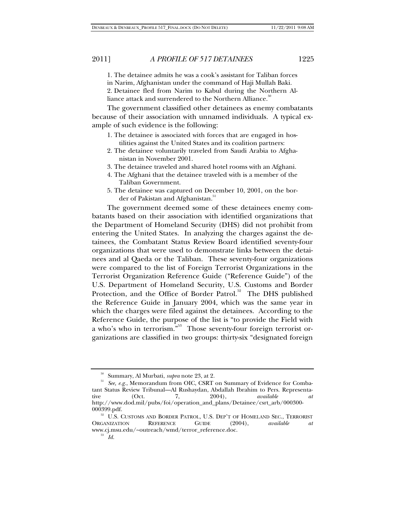1. The detainee admits he was a cook's assistant for Taliban forces

in Narim, Afghanistan under the command of Haji Mullah Baki.

2. Detainee fled from Narim to Kabul during the Northern Alliance attack and surrendered to the Northern Alliance.

The government classified other detainees as enemy combatants because of their association with unnamed individuals. A typical example of such evidence is the following:

- 1. The detainee is associated with forces that are engaged in hostilities against the United States and its coalition partners:
- 2. The detainee voluntarily traveled from Saudi Arabia to Afghanistan in November 2001.
- 3. The detainee traveled and shared hotel rooms with an Afghani.
- 4. The Afghani that the detainee traveled with is a member of the Taliban Government.
- 5. The detainee was captured on December 10, 2001, on the border of Pakistan and Afghanistan.<sup>51</sup>

The government deemed some of these detainees enemy combatants based on their association with identified organizations that the Department of Homeland Security (DHS) did not prohibit from entering the United States. In analyzing the charges against the detainees, the Combatant Status Review Board identified seventy-four organizations that were used to demonstrate links between the detainees and al Qaeda or the Taliban. These seventy-four organizations were compared to the list of Foreign Terrorist Organizations in the Terrorist Organization Reference Guide ("Reference Guide") of the U.S. Department of Homeland Security, U.S. Customs and Border Protection, and the Office of Border Patrol.<sup>52</sup> The DHS published the Reference Guide in January 2004, which was the same year in which the charges were filed against the detainees. According to the Reference Guide, the purpose of the list is "to provide the Field with a who's who in terrorism."<sup>53</sup> Those seventy-four foreign terrorist organizations are classified in two groups: thirty-six "designated foreign

<sup>&</sup>lt;sup>50</sup> Summary, Al Murbati, *supra* note 23, at 2.<br><sup>51</sup> *See, e.g.*, Memorandum from OIC, CSRT on Summary of Evidence for Combatant Status Review Tribunal—Al Rushaydan, Abdallah Ibrahim to Pers. Representa-<br>tive (Oct. 7, 2004), available at tive (Oct. 7, 2004), *available at*  http://www.dod.mil/pubs/foi/operation\_and\_plans/Detainee/csrt\_arb/000300- 000399.pdf. 52 U.S. CUSTOMS AND BORDER PATROL, U.S. DEP'T OF HOMELAND SEC., TERRORIST

ORGANIZATION REFERENCE GUIDE (2004), *available at*  www.cj.msu.edu/~outreach/wmd/terror\_reference.doc. 53 *Id.*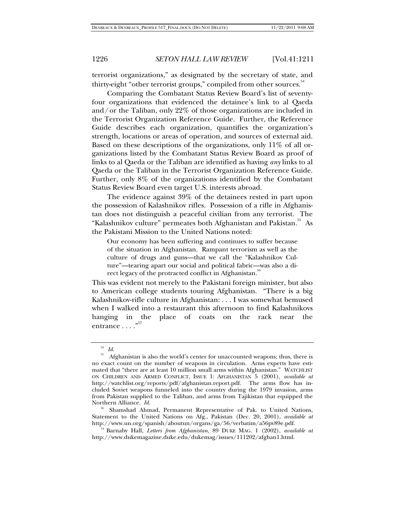terrorist organizations," as designated by the secretary of state, and thirty-eight "other terrorist groups," compiled from other sources.<sup>34</sup>

Comparing the Combatant Status Review Board's list of seventyfour organizations that evidenced the detainee's link to al Qaeda and/or the Taliban, only 22% of those organizations are included in the Terrorist Organization Reference Guide. Further, the Reference Guide describes each organization, quantifies the organization's strength, locations or areas of operation, and sources of external aid. Based on these descriptions of the organizations, only 11% of all organizations listed by the Combatant Status Review Board as proof of links to al Qaeda or the Taliban are identified as having *any* links to al Qaeda or the Taliban in the Terrorist Organization Reference Guide. Further, only 8% of the organizations identified by the Combatant Status Review Board even target U.S. interests abroad.

The evidence against 39% of the detainees rested in part upon the possession of Kalashnikov rifles. Possession of a rifle in Afghanistan does not distinguish a peaceful civilian from any terrorist. The "Kalashnikov culture" permeates both Afghanistan and Pakistan." As the Pakistani Mission to the United Nations noted:

Our economy has been suffering and continues to suffer because of the situation in Afghanistan. Rampant terrorism as well as the culture of drugs and guns—that we call the "Kalashnikov Culture"—tearing apart our social and political fabric—was also a direct legacy of the protracted conflict in Afghanistan.<sup>7</sup>

This was evident not merely to the Pakistani foreign minister, but also to American college students touring Afghanistan. "There is a big Kalashnikov-rifle culture in Afghanistan: . . . I was somewhat bemused when I walked into a restaurant this afternoon to find Kalashnikovs hanging in the place of coats on the rack near the entrance  $\dots$ ."<sup>57</sup>

 $\int_{55}^{54}$  *Id.* 

<sup>55</sup> Afghanistan is also the world's center for unaccounted weapons; thus, there is no exact count on the number of weapons in circulation. Arms experts have estimated that "there are at least 10 million small arms within Afghanistan." WATCHLIST ON CHILDREN AND ARMED CONFLICT, ISSUE 1: AFGHANISTAN 5 (2001), *available at*  http://watchlist.org/reports/pdf/afghanistan.report.pdf. The arms flow has included Soviet weapons funneled into the country during the 1979 invasion, arms from Pakistan supplied to the Taliban, and arms from Tajikistan that equipped the Northern Alliance. *Id.* 

<sup>&</sup>lt;sup>56</sup> Shamshad Ahmad, Permanent Representative of Pak. to United Nations, Statement to the United Nations on Afg., Pakistan (Dec. 20, 2001), *available at* http://www.un.org/spanish/aboutun/organs/ga/56/verbatim/a56pv89e.pdf.

 <sup>54</sup> Barnaby Hall, *Letters from Afghanistan*, 89 DUKE MAG. 1 (2002), *available at* http://www.dukemagazine.duke.edu/dukemag/issues/111202/afghan1.html.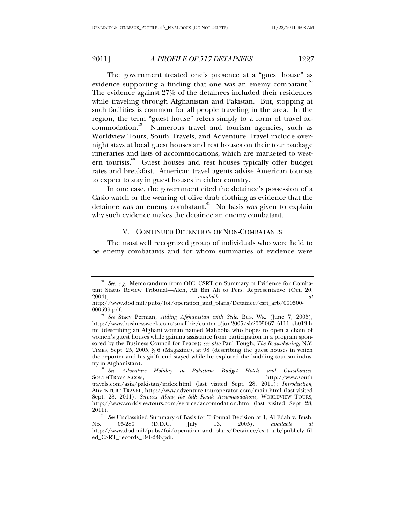The government treated one's presence at a "guest house" as evidence supporting a finding that one was an enemy combatant.<sup>88</sup> The evidence against 27% of the detainees included their residences while traveling through Afghanistan and Pakistan. But, stopping at such facilities is common for all people traveling in the area. In the region, the term "guest house" refers simply to a form of travel accommodation.59 Numerous travel and tourism agencies, such as Worldview Tours, South Travels, and Adventure Travel include overnight stays at local guest houses and rest houses on their tour package itineraries and lists of accommodations, which are marketed to western tourists.<sup>60</sup> Guest houses and rest houses typically offer budget rates and breakfast. American travel agents advise American tourists to expect to stay in guest houses in either country.

In one case, the government cited the detainee's possession of a Casio watch or the wearing of olive drab clothing as evidence that the detainee was an enemy combatant.<sup>61</sup> No basis was given to explain why such evidence makes the detainee an enemy combatant.

#### V. CONTINUED DETENTION OF NON-COMBATANTS

The most well recognized group of individuals who were held to be enemy combatants and for whom summaries of evidence were

See, e.g., Memorandum from OIC, CSRT on Summary of Evidence for Combatant Status Review Tribunal—Aleh, Ali Bin Ali to Pers. Representative (Oct. 20, 2004),  $available$ 2004), *available at* 

http://www.dod.mil/pubs/foi/operation\_and\_plans/Detainee/csrt\_arb/000500- 000599.pdf. 59 *See* Stacy Perman, *Aiding Afghanistan with Style*, BUS. WK. (June 7, 2005),

http://www.businessweek.com/smallbiz/content/jun2005/sb2005067\_5111\_sb013.h tm (describing an Afghani woman named Mahboba who hopes to open a chain of women's guest houses while gaining assistance from participation in a program sponsored by the Business Council for Peace); *see also* Paul Tough, *The Reawakening*, N.Y. TIMES, Sept. 25, 2005, § 6 (Magazine), at 98 (describing the guest houses in which the reporter and his girlfriend stayed while he explored the budding tourism indus-

<sup>&</sup>lt;sup>60</sup> See *Adventure Holiday in Pakistan: Budget Hotels and Guesthouses,*<br>SOUTHTRAVELS.COM, http://www.south http://www.south travels.com/asia/pakistan/index.html (last visited Sept. 28, 2011); *Introduction*, ADVENTURE TRAVEL, http://www.adventure-touroperator.com/main.html (last visited Sept. 28, 2011); *Services Along the Silk Road: Accommodations*, WORLDVIEW TOURS, http://www.worldviewtours.com/service/accomodation.htm (last visited Sept 28,

<sup>&</sup>lt;sup>61</sup> See Unclassified Summary of Basis for Tribunal Decision at 1, Al Edah v. Bush,<br>No. 05-280 (D.D.C. [uly 13, 2005), *available at* No. 05-280 (D.D.C. July 13, 2005), *available at*  http://www.dod.mil/pubs/foi/operation\_and\_plans/Detainee/csrt\_arb/publicly\_fil ed\_CSRT\_records\_191-236.pdf.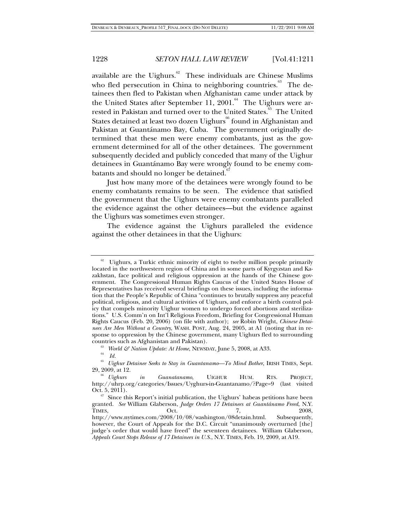available are the Uighurs.<sup>62</sup> These individuals are Chinese Muslims who fled persecution in China to neighboring countries.<sup>63</sup> The detainees then fled to Pakistan when Afghanistan came under attack by the United States after September 11, 2001. $^{64}$  The Uighurs were arrested in Pakistan and turned over to the United States.<sup>65</sup> The United States detained at least two dozen Uighurs<sup>66</sup> found in Afghanistan and Pakistan at Guantánamo Bay, Cuba. The government originally determined that these men were enemy combatants, just as the government determined for all of the other detainees. The government subsequently decided and publicly conceded that many of the Uighur detainees in Guantánamo Bay were wrongly found to be enemy combatants and should no longer be detained.<sup>6</sup>

Just how many more of the detainees were wrongly found to be enemy combatants remains to be seen. The evidence that satisfied the government that the Uighurs were enemy combatants paralleled the evidence against the other detainees—but the evidence against the Uighurs was sometimes even stronger.

The evidence against the Uighurs paralleled the evidence against the other detainees in that the Uighurs:

<sup>63</sup> *World & Nation Update: At Home*, NEWSDAY, June 5, 2008, at A33.

Uighurs, a Turkic ethnic minority of eight to twelve million people primarily located in the northwestern region of China and in some parts of Kyrgyzstan and Kazakhstan, face political and religious oppression at the hands of the Chinese government. The Congressional Human Rights Caucus of the United States House of Representatives has received several briefings on these issues, including the information that the People's Republic of China "continues to brutally suppress any peaceful political, religious, and cultural activities of Uighurs, and enforce a birth control policy that compels minority Uighur women to undergo forced abortions and sterilizations." U.S. Comm'n on Int'l Religious Freedom, Briefing for Congressional Human Rights Caucus (Feb. 20, 2006) (on file with author); *see* Robin Wright, *Chinese Detainees Are Men Without a Country*, WASH. POST, Aug. 24, 2005, at A1 (noting that in response to oppression by the Chinese government, many Uighurs fled to surrounding countries such as Afghanistan and Pakistan).

*Id.*

<sup>65</sup> *Uighur Detainee Seeks to Stay in Guantanamo—To Mind Bother*, IRISH TIMES, Sept.

<sup>29, 2009,</sup> at 12. 66 *Uighurs in Guanatanamo*, UIGHUR HUM. RTS. PROJECT, http://uhrp.org/categories/Issues/Uyghurs-in-Guantanamo/?Page=9 (last visited

 $67\,$  Since this Report's initial publication, the Uighurs' habeas petitions have been granted. *See* William Glaberson, *Judge Orders 17 Detainees at Guantánamo Freed*, N.Y. TIMES, 0ct. 0.1 7, 2008, http://www.nytimes.com/2008/10/08/washington/08detain.html. Subsequently, however, the Court of Appeals for the D.C. Circuit "unanimously overturned [the] judge's order that would have freed" the seventeen detainees. William Glaberson, *Appeals Court Stops Release of 17 Detainees in U.S.*, N.Y. TIMES, Feb. 19, 2009, at A19.